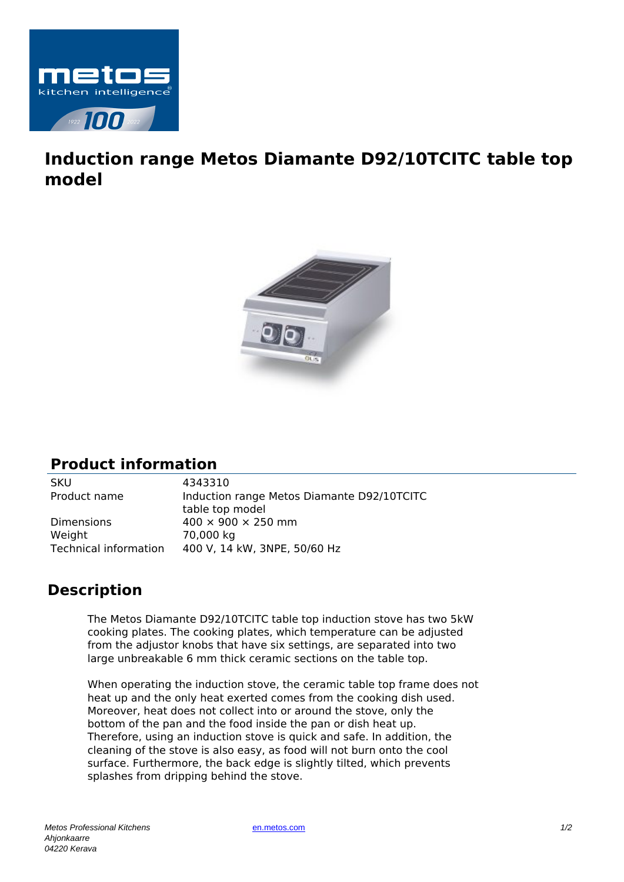

## **Induction range Metos Diamante D92/10TCITC table top model**



## **Product information**

SKU 4343310

Product name Induction range Metos Diamante D92/10TCITC table top model Dimensions  $400 \times 900 \times 250$  mm Weight 70,000 kg Technical information 400 V, 14 kW, 3NPE, 50/60 Hz

## **Description**

The Metos Diamante D92/10TCITC table top induction stove has two 5kW cooking plates. The cooking plates, which temperature can be adjusted from the adjustor knobs that have six settings, are separated into two large unbreakable 6 mm thick ceramic sections on the table top.

When operating the induction stove, the ceramic table top frame does not heat up and the only heat exerted comes from the cooking dish used. Moreover, heat does not collect into or around the stove, only the bottom of the pan and the food inside the pan or dish heat up. Therefore, using an induction stove is quick and safe. In addition, the cleaning of the stove is also easy, as food will not burn onto the cool surface. Furthermore, the back edge is slightly tilted, which prevents splashes from dripping behind the stove.